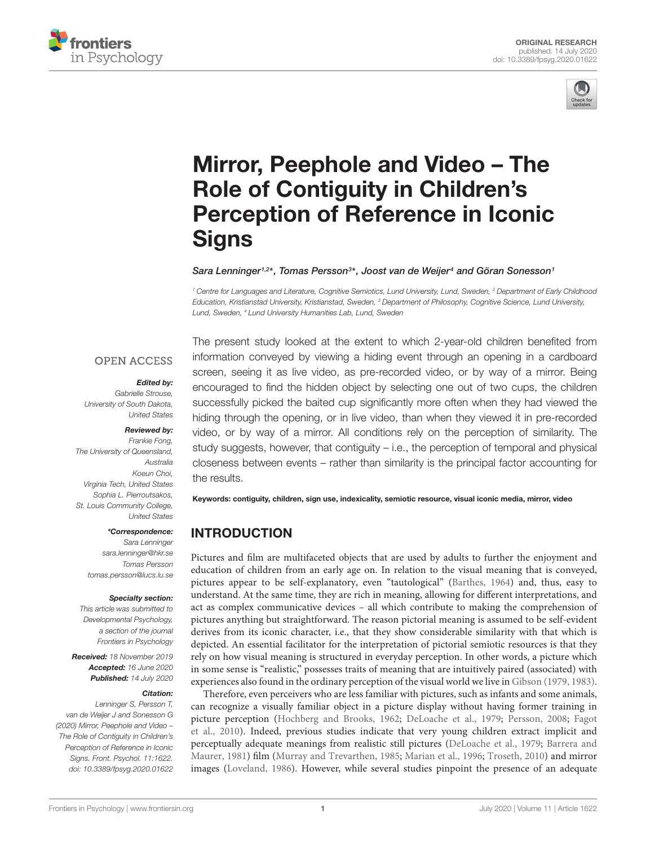



# Mirror, Peephole and Video – The Role of Contiguity in Children's [Perception of Reference in Iconic](https://www.frontiersin.org/articles/10.3389/fpsyg.2020.01622/full) **Signs**

[Sara Lenninger](http://loop.frontiersin.org/people/835308/overview)1,2\*, [Tomas Persson](http://loop.frontiersin.org/people/97217/overview)<sup>3\*</sup>, [Joost van de Weijer](http://loop.frontiersin.org/people/682221/overview)<sup>4</sup> and [Göran Sonesson](http://loop.frontiersin.org/people/974157/overview)1

<sup>1</sup> Centre for Languages and Literature, Cognitive Semiotics, Lund University, Lund, Sweden, <sup>2</sup> Department of Early Childhood Education, Kristianstad University, Kristianstad, Sweden, <sup>3</sup> Department of Philosophy, Cognitive Science, Lund University, Lund, Sweden, <sup>4</sup> Lund University Humanities Lab, Lund, Sweden

#### **OPEN ACCESS**

#### Edited by:

Gabrielle Strouse, University of South Dakota, United States

#### Reviewed by:

Frankie Fong, The University of Queensland, Australia Koeun Choi, Virginia Tech, United States Sophia L. Pierroutsakos, St. Louis Community College United States

#### \*Correspondence:

Sara Lenninger [sara.lenninger@hkr.se](mailto:sara.lenninger@hkr.se) Tomas Persson [tomas.persson@lucs.lu.se](mailto:tomas.persson@lucs.lu.se)

#### Specialty section:

This article was submitted to Developmental Psychology, a section of the journal Frontiers in Psychology

Received: 18 November 2019 Accepted: 16 June 2020 Published: 14 July 2020

#### Citation:

Lenninger S, Persson T, van de Weijer J and Sonesson G (2020) Mirror, Peephole and Video – The Role of Contiguity in Children's Perception of Reference in Iconic Signs. Front. Psychol. 11:1622. doi: [10.3389/fpsyg.2020.01622](https://doi.org/10.3389/fpsyg.2020.01622)

The present study looked at the extent to which 2-year-old children benefited from information conveyed by viewing a hiding event through an opening in a cardboard screen, seeing it as live video, as pre-recorded video, or by way of a mirror. Being encouraged to find the hidden object by selecting one out of two cups, the children successfully picked the baited cup significantly more often when they had viewed the hiding through the opening, or in live video, than when they viewed it in pre-recorded video, or by way of a mirror. All conditions rely on the perception of similarity. The study suggests, however, that contiguity – i.e., the perception of temporal and physical closeness between events – rather than similarity is the principal factor accounting for the results.

Keywords: contiguity, children, sign use, indexicality, semiotic resource, visual iconic media, mirror, video

# INTRODUCTION

Pictures and film are multifaceted objects that are used by adults to further the enjoyment and education of children from an early age on. In relation to the visual meaning that is conveyed, pictures appear to be self-explanatory, even "tautological" [\(Barthes,](#page-12-0) [1964\)](#page-12-0) and, thus, easy to understand. At the same time, they are rich in meaning, allowing for different interpretations, and act as complex communicative devices – all which contribute to making the comprehension of pictures anything but straightforward. The reason pictorial meaning is assumed to be self-evident derives from its iconic character, i.e., that they show considerable similarity with that which is depicted. An essential facilitator for the interpretation of pictorial semiotic resources is that they rely on how visual meaning is structured in everyday perception. In other words, a picture which in some sense is "realistic," possesses traits of meaning that are intuitively paired (associated) with experiences also found in the ordinary perception of the visual world we live in [Gibson](#page-12-1) [\(1979,](#page-12-1) [1983\)](#page-12-2).

Therefore, even perceivers who are less familiar with pictures, such as infants and some animals, can recognize a visually familiar object in a picture display without having former training in picture perception [\(Hochberg and Brooks,](#page-12-3) [1962;](#page-12-3) [DeLoache et al.,](#page-12-4) [1979;](#page-12-4) [Persson,](#page-13-0) [2008;](#page-13-0) [Fagot](#page-12-5) [et al.,](#page-12-5) [2010\)](#page-12-5). Indeed, previous studies indicate that very young children extract implicit and perceptually adequate meanings from realistic still pictures [\(DeLoache et al.,](#page-12-4) [1979;](#page-12-4) [Barrera and](#page-12-6) [Maurer,](#page-12-6) [1981\)](#page-12-6) film [\(Murray and Trevarthen,](#page-13-1) [1985;](#page-13-1) [Marian et al.,](#page-12-7) [1996;](#page-12-7) [Troseth,](#page-13-2) [2010\)](#page-13-2) and mirror images [\(Loveland,](#page-12-8) [1986\)](#page-12-8). However, while several studies pinpoint the presence of an adequate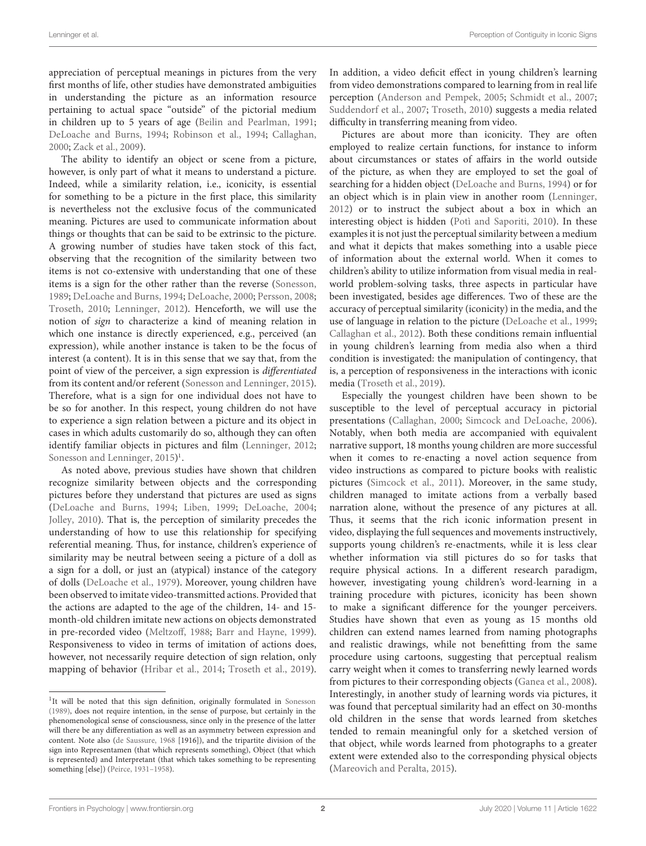appreciation of perceptual meanings in pictures from the very first months of life, other studies have demonstrated ambiguities in understanding the picture as an information resource pertaining to actual space "outside" of the pictorial medium in children up to 5 years of age [\(Beilin and Pearlman,](#page-12-9) [1991;](#page-12-9) [DeLoache and Burns,](#page-12-10) [1994;](#page-12-10) [Robinson et al.,](#page-13-3) [1994;](#page-13-3) [Callaghan,](#page-12-11) [2000;](#page-12-11) [Zack et al.,](#page-13-4) [2009\)](#page-13-4).

The ability to identify an object or scene from a picture, however, is only part of what it means to understand a picture. Indeed, while a similarity relation, i.e., iconicity, is essential for something to be a picture in the first place, this similarity is nevertheless not the exclusive focus of the communicated meaning. Pictures are used to communicate information about things or thoughts that can be said to be extrinsic to the picture. A growing number of studies have taken stock of this fact, observing that the recognition of the similarity between two items is not co-extensive with understanding that one of these items is a sign for the other rather than the reverse [\(Sonesson,](#page-13-5) [1989;](#page-13-5) [DeLoache and Burns,](#page-12-10) [1994;](#page-12-10) [DeLoache,](#page-12-12) [2000;](#page-12-12) [Persson,](#page-13-0) [2008;](#page-13-0) [Troseth,](#page-13-2) [2010;](#page-13-2) [Lenninger,](#page-12-13) [2012\)](#page-12-13). Henceforth, we will use the notion of sign to characterize a kind of meaning relation in which one instance is directly experienced, e.g., perceived (an expression), while another instance is taken to be the focus of interest (a content). It is in this sense that we say that, from the point of view of the perceiver, a sign expression is differentiated from its content and/or referent [\(Sonesson and Lenninger,](#page-13-6) [2015\)](#page-13-6). Therefore, what is a sign for one individual does not have to be so for another. In this respect, young children do not have to experience a sign relation between a picture and its object in cases in which adults customarily do so, although they can often identify familiar objects in pictures and film [\(Lenninger,](#page-12-13) [2012;](#page-12-13) [Sonesson and Lenninger,](#page-13-6) [2015\)](#page-13-6)<sup>[1](#page-1-0)</sup>.

As noted above, previous studies have shown that children recognize similarity between objects and the corresponding pictures before they understand that pictures are used as signs [\(DeLoache and Burns,](#page-12-10) [1994;](#page-12-10) [Liben,](#page-12-14) [1999;](#page-12-14) [DeLoache,](#page-12-15) [2004;](#page-12-15) [Jolley,](#page-12-16) [2010\)](#page-12-16). That is, the perception of similarity precedes the understanding of how to use this relationship for specifying referential meaning. Thus, for instance, children's experience of similarity may be neutral between seeing a picture of a doll as a sign for a doll, or just an (atypical) instance of the category of dolls [\(DeLoache et al.,](#page-12-4) [1979\)](#page-12-4). Moreover, young children have been observed to imitate video-transmitted actions. Provided that the actions are adapted to the age of the children, 14- and 15 month-old children imitate new actions on objects demonstrated in pre-recorded video [\(Meltzoff,](#page-12-17) [1988;](#page-12-17) [Barr and Hayne,](#page-12-18) [1999\)](#page-12-18). Responsiveness to video in terms of imitation of actions does, however, not necessarily require detection of sign relation, only mapping of behavior [\(Hribar et al.,](#page-12-19) [2014;](#page-12-19) [Troseth et al.,](#page-13-7) [2019\)](#page-13-7).

In addition, a video deficit effect in young children's learning from video demonstrations compared to learning from in real life perception [\(Anderson and Pempek,](#page-12-21) [2005;](#page-12-21) [Schmidt et al.,](#page-13-9) [2007;](#page-13-9) [Suddendorf et al.,](#page-13-10) [2007;](#page-13-10) [Troseth,](#page-13-2) [2010\)](#page-13-2) suggests a media related difficulty in transferring meaning from video.

Pictures are about more than iconicity. They are often employed to realize certain functions, for instance to inform about circumstances or states of affairs in the world outside of the picture, as when they are employed to set the goal of searching for a hidden object [\(DeLoache and Burns,](#page-12-10) [1994\)](#page-12-10) or for an object which is in plain view in another room [\(Lenninger,](#page-12-13) [2012\)](#page-12-13) or to instruct the subject about a box in which an interesting object is hidden [\(Potì and Saporiti,](#page-13-11) [2010\)](#page-13-11). In these examples it is not just the perceptual similarity between a medium and what it depicts that makes something into a usable piece of information about the external world. When it comes to children's ability to utilize information from visual media in realworld problem-solving tasks, three aspects in particular have been investigated, besides age differences. Two of these are the accuracy of perceptual similarity (iconicity) in the media, and the use of language in relation to the picture [\(DeLoache et al.,](#page-12-22) [1999;](#page-12-22) [Callaghan et al.,](#page-12-23) [2012\)](#page-12-23). Both these conditions remain influential in young children's learning from media also when a third condition is investigated: the manipulation of contingency, that is, a perception of responsiveness in the interactions with iconic media [\(Troseth et al.,](#page-13-7) [2019\)](#page-13-7).

Especially the youngest children have been shown to be susceptible to the level of perceptual accuracy in pictorial presentations [\(Callaghan,](#page-12-11) [2000;](#page-12-11) [Simcock and DeLoache,](#page-13-12) [2006\)](#page-13-12). Notably, when both media are accompanied with equivalent narrative support, 18 months young children are more successful when it comes to re-enacting a novel action sequence from video instructions as compared to picture books with realistic pictures [\(Simcock et al.,](#page-13-13) [2011\)](#page-13-13). Moreover, in the same study, children managed to imitate actions from a verbally based narration alone, without the presence of any pictures at all. Thus, it seems that the rich iconic information present in video, displaying the full sequences and movements instructively, supports young children's re-enactments, while it is less clear whether information via still pictures do so for tasks that require physical actions. In a different research paradigm, however, investigating young children's word-learning in a training procedure with pictures, iconicity has been shown to make a significant difference for the younger perceivers. Studies have shown that even as young as 15 months old children can extend names learned from naming photographs and realistic drawings, while not benefitting from the same procedure using cartoons, suggesting that perceptual realism carry weight when it comes to transferring newly learned words from pictures to their corresponding objects [\(Ganea et al.,](#page-12-24) [2008\)](#page-12-24). Interestingly, in another study of learning words via pictures, it was found that perceptual similarity had an effect on 30-months old children in the sense that words learned from sketches tended to remain meaningful only for a sketched version of that object, while words learned from photographs to a greater extent were extended also to the corresponding physical objects [\(Mareovich and Peralta,](#page-12-25) [2015\)](#page-12-25).

<span id="page-1-0"></span><sup>&</sup>lt;sup>1</sup>It will be noted that this sign definition, originally formulated in [Sonesson](#page-13-5) [\(1989\)](#page-13-5), does not require intention, in the sense of purpose, but certainly in the phenomenological sense of consciousness, since only in the presence of the latter will there be any differentiation as well as an asymmetry between expression and content. Note also [\(de Saussure,](#page-12-20) [1968](#page-12-20) [1916]), and the tripartite division of the sign into Representamen (that which represents something), Object (that which is represented) and Interpretant (that which takes something to be representing something [else]) [\(Peirce,](#page-13-8) [1931–1958\)](#page-13-8).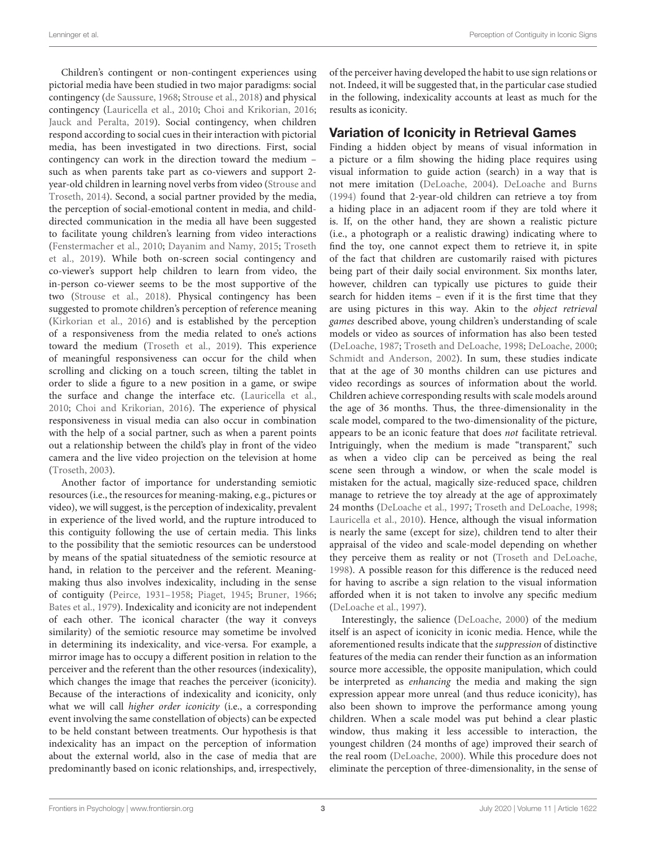Children's contingent or non-contingent experiences using pictorial media have been studied in two major paradigms: social contingency [\(de Saussure,](#page-12-20) [1968;](#page-12-20) [Strouse et al.,](#page-13-14) [2018\)](#page-13-14) and physical contingency [\(Lauricella et al.,](#page-12-26) [2010;](#page-12-26) [Choi and Krikorian,](#page-12-27) [2016;](#page-12-27) [Jauck and Peralta,](#page-12-28) [2019\)](#page-12-28). Social contingency, when children respond according to social cues in their interaction with pictorial media, has been investigated in two directions. First, social contingency can work in the direction toward the medium – such as when parents take part as co-viewers and support 2 year-old children in learning novel verbs from video [\(Strouse and](#page-13-15) [Troseth,](#page-13-15) [2014\)](#page-13-15). Second, a social partner provided by the media, the perception of social-emotional content in media, and childdirected communication in the media all have been suggested to facilitate young children's learning from video interactions [\(Fenstermacher et al.,](#page-12-29) [2010;](#page-12-29) [Dayanim and Namy,](#page-12-30) [2015;](#page-12-30) [Troseth](#page-13-7) [et al.,](#page-13-7) [2019\)](#page-13-7). While both on-screen social contingency and co-viewer's support help children to learn from video, the in-person co-viewer seems to be the most supportive of the two [\(Strouse et al.,](#page-13-14) [2018\)](#page-13-14). Physical contingency has been suggested to promote children's perception of reference meaning [\(Kirkorian et al.,](#page-12-31) [2016\)](#page-12-31) and is established by the perception of a responsiveness from the media related to one's actions toward the medium [\(Troseth et al.,](#page-13-7) [2019\)](#page-13-7). This experience of meaningful responsiveness can occur for the child when scrolling and clicking on a touch screen, tilting the tablet in order to slide a figure to a new position in a game, or swipe the surface and change the interface etc. [\(Lauricella et al.,](#page-12-26) [2010;](#page-12-26) [Choi and Krikorian,](#page-12-27) [2016\)](#page-12-27). The experience of physical responsiveness in visual media can also occur in combination with the help of a social partner, such as when a parent points out a relationship between the child's play in front of the video camera and the live video projection on the television at home [\(Troseth,](#page-13-16) [2003\)](#page-13-16).

Another factor of importance for understanding semiotic resources (i.e., the resources for meaning-making, e.g., pictures or video), we will suggest, is the perception of indexicality, prevalent in experience of the lived world, and the rupture introduced to this contiguity following the use of certain media. This links to the possibility that the semiotic resources can be understood by means of the spatial situatedness of the semiotic resource at hand, in relation to the perceiver and the referent. Meaningmaking thus also involves indexicality, including in the sense of contiguity [\(Peirce,](#page-13-8) [1931–1958;](#page-13-8) [Piaget,](#page-13-17) [1945;](#page-13-17) [Bruner,](#page-12-32) [1966;](#page-12-32) [Bates et al.,](#page-12-33) [1979\)](#page-12-33). Indexicality and iconicity are not independent of each other. The iconical character (the way it conveys similarity) of the semiotic resource may sometime be involved in determining its indexicality, and vice-versa. For example, a mirror image has to occupy a different position in relation to the perceiver and the referent than the other resources (indexicality), which changes the image that reaches the perceiver (iconicity). Because of the interactions of indexicality and iconicity, only what we will call *higher order iconicity* (i.e., a corresponding event involving the same constellation of objects) can be expected to be held constant between treatments. Our hypothesis is that indexicality has an impact on the perception of information about the external world, also in the case of media that are predominantly based on iconic relationships, and, irrespectively,

of the perceiver having developed the habit to use sign relations or not. Indeed, it will be suggested that, in the particular case studied in the following, indexicality accounts at least as much for the results as iconicity.

### Variation of Iconicity in Retrieval Games

Finding a hidden object by means of visual information in a picture or a film showing the hiding place requires using visual information to guide action (search) in a way that is not mere imitation [\(DeLoache,](#page-12-15) [2004\)](#page-12-15). [DeLoache and Burns](#page-12-10) [\(1994\)](#page-12-10) found that 2-year-old children can retrieve a toy from a hiding place in an adjacent room if they are told where it is. If, on the other hand, they are shown a realistic picture (i.e., a photograph or a realistic drawing) indicating where to find the toy, one cannot expect them to retrieve it, in spite of the fact that children are customarily raised with pictures being part of their daily social environment. Six months later, however, children can typically use pictures to guide their search for hidden items – even if it is the first time that they are using pictures in this way. Akin to the object retrieval games described above, young children's understanding of scale models or video as sources of information has also been tested [\(DeLoache,](#page-12-34) [1987;](#page-12-34) [Troseth and DeLoache,](#page-13-18) [1998;](#page-13-18) [DeLoache,](#page-12-12) [2000;](#page-12-12) [Schmidt and Anderson,](#page-13-19) [2002\)](#page-13-19). In sum, these studies indicate that at the age of 30 months children can use pictures and video recordings as sources of information about the world. Children achieve corresponding results with scale models around the age of 36 months. Thus, the three-dimensionality in the scale model, compared to the two-dimensionality of the picture, appears to be an iconic feature that does not facilitate retrieval. Intriguingly, when the medium is made "transparent," such as when a video clip can be perceived as being the real scene seen through a window, or when the scale model is mistaken for the actual, magically size-reduced space, children manage to retrieve the toy already at the age of approximately 24 months [\(DeLoache et al.,](#page-12-35) [1997;](#page-12-35) [Troseth and DeLoache,](#page-13-18) [1998;](#page-13-18) [Lauricella et al.,](#page-12-26) [2010\)](#page-12-26). Hence, although the visual information is nearly the same (except for size), children tend to alter their appraisal of the video and scale-model depending on whether they perceive them as reality or not [\(Troseth and DeLoache,](#page-13-18) [1998\)](#page-13-18). A possible reason for this difference is the reduced need for having to ascribe a sign relation to the visual information afforded when it is not taken to involve any specific medium [\(DeLoache et al.,](#page-12-35) [1997\)](#page-12-35).

Interestingly, the salience [\(DeLoache,](#page-12-12) [2000\)](#page-12-12) of the medium itself is an aspect of iconicity in iconic media. Hence, while the aforementioned results indicate that the suppression of distinctive features of the media can render their function as an information source more accessible, the opposite manipulation, which could be interpreted as enhancing the media and making the sign expression appear more unreal (and thus reduce iconicity), has also been shown to improve the performance among young children. When a scale model was put behind a clear plastic window, thus making it less accessible to interaction, the youngest children (24 months of age) improved their search of the real room [\(DeLoache,](#page-12-12) [2000\)](#page-12-12). While this procedure does not eliminate the perception of three-dimensionality, in the sense of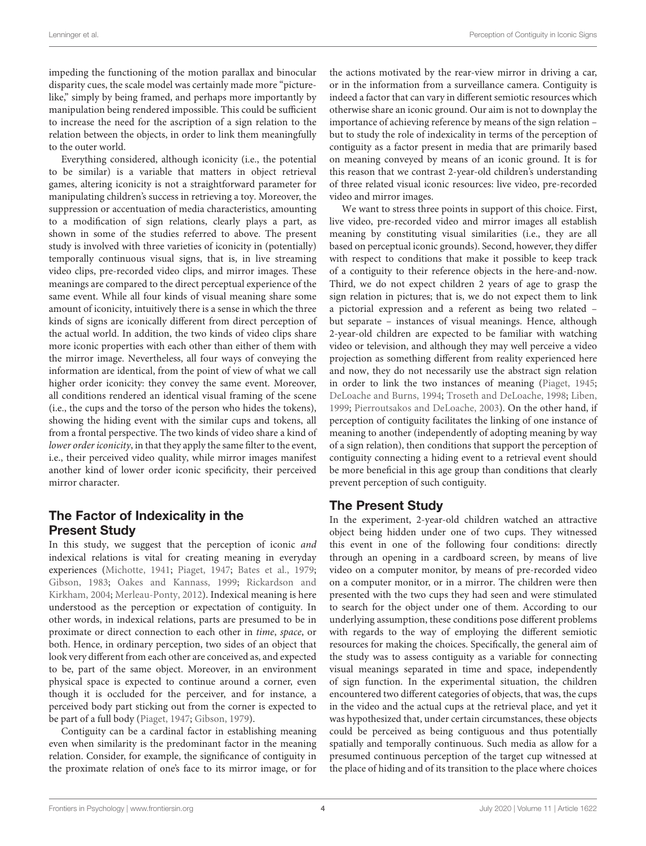impeding the functioning of the motion parallax and binocular disparity cues, the scale model was certainly made more "picturelike," simply by being framed, and perhaps more importantly by manipulation being rendered impossible. This could be sufficient to increase the need for the ascription of a sign relation to the relation between the objects, in order to link them meaningfully to the outer world.

Everything considered, although iconicity (i.e., the potential to be similar) is a variable that matters in object retrieval games, altering iconicity is not a straightforward parameter for manipulating children's success in retrieving a toy. Moreover, the suppression or accentuation of media characteristics, amounting to a modification of sign relations, clearly plays a part, as shown in some of the studies referred to above. The present study is involved with three varieties of iconicity in (potentially) temporally continuous visual signs, that is, in live streaming video clips, pre-recorded video clips, and mirror images. These meanings are compared to the direct perceptual experience of the same event. While all four kinds of visual meaning share some amount of iconicity, intuitively there is a sense in which the three kinds of signs are iconically different from direct perception of the actual world. In addition, the two kinds of video clips share more iconic properties with each other than either of them with the mirror image. Nevertheless, all four ways of conveying the information are identical, from the point of view of what we call higher order iconicity: they convey the same event. Moreover, all conditions rendered an identical visual framing of the scene (i.e., the cups and the torso of the person who hides the tokens), showing the hiding event with the similar cups and tokens, all from a frontal perspective. The two kinds of video share a kind of lower order iconicity, in that they apply the same filter to the event, i.e., their perceived video quality, while mirror images manifest another kind of lower order iconic specificity, their perceived mirror character.

# The Factor of Indexicality in the Present Study

In this study, we suggest that the perception of iconic and indexical relations is vital for creating meaning in everyday experiences [\(Michotte,](#page-12-36) [1941;](#page-12-36) [Piaget,](#page-13-20) [1947;](#page-13-20) [Bates et al.,](#page-12-33) [1979;](#page-12-33) [Gibson,](#page-12-2) [1983;](#page-12-2) [Oakes and Kannass,](#page-13-21) [1999;](#page-13-21) [Rickardson and](#page-13-22) [Kirkham,](#page-13-22) [2004;](#page-13-22) [Merleau-Ponty,](#page-12-37) [2012\)](#page-12-37). Indexical meaning is here understood as the perception or expectation of contiguity. In other words, in indexical relations, parts are presumed to be in proximate or direct connection to each other in time, space, or both. Hence, in ordinary perception, two sides of an object that look very different from each other are conceived as, and expected to be, part of the same object. Moreover, in an environment physical space is expected to continue around a corner, even though it is occluded for the perceiver, and for instance, a perceived body part sticking out from the corner is expected to be part of a full body [\(Piaget,](#page-13-20) [1947;](#page-13-20) [Gibson,](#page-12-1) [1979\)](#page-12-1).

Contiguity can be a cardinal factor in establishing meaning even when similarity is the predominant factor in the meaning relation. Consider, for example, the significance of contiguity in the proximate relation of one's face to its mirror image, or for

the actions motivated by the rear-view mirror in driving a car, or in the information from a surveillance camera. Contiguity is indeed a factor that can vary in different semiotic resources which otherwise share an iconic ground. Our aim is not to downplay the importance of achieving reference by means of the sign relation – but to study the role of indexicality in terms of the perception of contiguity as a factor present in media that are primarily based on meaning conveyed by means of an iconic ground. It is for this reason that we contrast 2-year-old children's understanding of three related visual iconic resources: live video, pre-recorded video and mirror images.

We want to stress three points in support of this choice. First, live video, pre-recorded video and mirror images all establish meaning by constituting visual similarities (i.e., they are all based on perceptual iconic grounds). Second, however, they differ with respect to conditions that make it possible to keep track of a contiguity to their reference objects in the here-and-now. Third, we do not expect children 2 years of age to grasp the sign relation in pictures; that is, we do not expect them to link a pictorial expression and a referent as being two related – but separate – instances of visual meanings. Hence, although 2-year-old children are expected to be familiar with watching video or television, and although they may well perceive a video projection as something different from reality experienced here and now, they do not necessarily use the abstract sign relation in order to link the two instances of meaning [\(Piaget,](#page-13-17) [1945;](#page-13-17) [DeLoache and Burns,](#page-12-10) [1994;](#page-12-10) [Troseth and DeLoache,](#page-13-18) [1998;](#page-13-18) [Liben,](#page-12-14) [1999;](#page-12-14) [Pierroutsakos and DeLoache,](#page-13-23) [2003\)](#page-13-23). On the other hand, if perception of contiguity facilitates the linking of one instance of meaning to another (independently of adopting meaning by way of a sign relation), then conditions that support the perception of contiguity connecting a hiding event to a retrieval event should be more beneficial in this age group than conditions that clearly prevent perception of such contiguity.

# The Present Study

In the experiment, 2-year-old children watched an attractive object being hidden under one of two cups. They witnessed this event in one of the following four conditions: directly through an opening in a cardboard screen, by means of live video on a computer monitor, by means of pre-recorded video on a computer monitor, or in a mirror. The children were then presented with the two cups they had seen and were stimulated to search for the object under one of them. According to our underlying assumption, these conditions pose different problems with regards to the way of employing the different semiotic resources for making the choices. Specifically, the general aim of the study was to assess contiguity as a variable for connecting visual meanings separated in time and space, independently of sign function. In the experimental situation, the children encountered two different categories of objects, that was, the cups in the video and the actual cups at the retrieval place, and yet it was hypothesized that, under certain circumstances, these objects could be perceived as being contiguous and thus potentially spatially and temporally continuous. Such media as allow for a presumed continuous perception of the target cup witnessed at the place of hiding and of its transition to the place where choices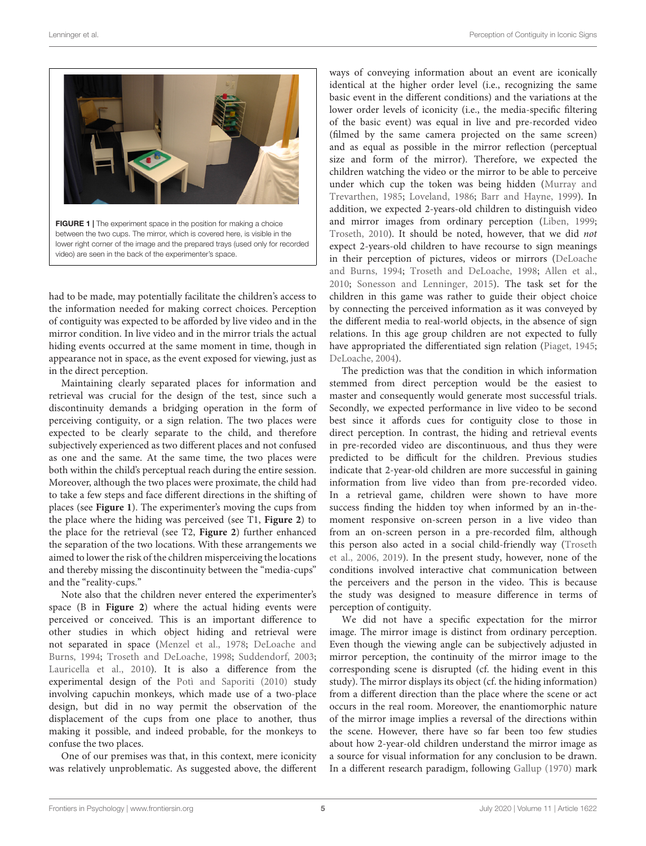

<span id="page-4-0"></span>had to be made, may potentially facilitate the children's access to the information needed for making correct choices. Perception of contiguity was expected to be afforded by live video and in the mirror condition. In live video and in the mirror trials the actual hiding events occurred at the same moment in time, though in appearance not in space, as the event exposed for viewing, just as in the direct perception.

Maintaining clearly separated places for information and retrieval was crucial for the design of the test, since such a discontinuity demands a bridging operation in the form of perceiving contiguity, or a sign relation. The two places were expected to be clearly separate to the child, and therefore subjectively experienced as two different places and not confused as one and the same. At the same time, the two places were both within the child's perceptual reach during the entire session. Moreover, although the two places were proximate, the child had to take a few steps and face different directions in the shifting of places (see **[Figure 1](#page-4-0)**). The experimenter's moving the cups from the place where the hiding was perceived (see T1, **[Figure 2](#page-5-0)**) to the place for the retrieval (see T2, **[Figure 2](#page-5-0)**) further enhanced the separation of the two locations. With these arrangements we aimed to lower the risk of the children misperceiving the locations and thereby missing the discontinuity between the "media-cups" and the "reality-cups."

Note also that the children never entered the experimenter's space (B in **[Figure 2](#page-5-0)**) where the actual hiding events were perceived or conceived. This is an important difference to other studies in which object hiding and retrieval were not separated in space [\(Menzel et al.,](#page-12-38) [1978;](#page-12-38) [DeLoache and](#page-12-10) [Burns,](#page-12-10) [1994;](#page-12-10) [Troseth and DeLoache,](#page-13-18) [1998;](#page-13-18) [Suddendorf,](#page-13-24) [2003;](#page-13-24) [Lauricella et al.,](#page-12-26) [2010\)](#page-12-26). It is also a difference from the experimental design of the [Potì and Saporiti](#page-13-11) [\(2010\)](#page-13-11) study involving capuchin monkeys, which made use of a two-place design, but did in no way permit the observation of the displacement of the cups from one place to another, thus making it possible, and indeed probable, for the monkeys to confuse the two places.

One of our premises was that, in this context, mere iconicity was relatively unproblematic. As suggested above, the different ways of conveying information about an event are iconically identical at the higher order level (i.e., recognizing the same basic event in the different conditions) and the variations at the lower order levels of iconicity (i.e., the media-specific filtering of the basic event) was equal in live and pre-recorded video (filmed by the same camera projected on the same screen) and as equal as possible in the mirror reflection (perceptual size and form of the mirror). Therefore, we expected the children watching the video or the mirror to be able to perceive under which cup the token was being hidden [\(Murray and](#page-13-1) [Trevarthen,](#page-13-1) [1985;](#page-13-1) [Loveland,](#page-12-8) [1986;](#page-12-8) [Barr and Hayne,](#page-12-18) [1999\)](#page-12-18). In addition, we expected 2-years-old children to distinguish video and mirror images from ordinary perception [\(Liben,](#page-12-14) [1999;](#page-12-14) [Troseth,](#page-13-2) [2010\)](#page-13-2). It should be noted, however, that we did not expect 2-years-old children to have recourse to sign meanings in their perception of pictures, videos or mirrors [\(DeLoache](#page-12-10) [and Burns,](#page-12-10) [1994;](#page-12-10) [Troseth and DeLoache,](#page-13-18) [1998;](#page-13-18) [Allen et al.,](#page-12-39) [2010;](#page-12-39) [Sonesson and Lenninger,](#page-13-6) [2015\)](#page-13-6). The task set for the children in this game was rather to guide their object choice by connecting the perceived information as it was conveyed by the different media to real-world objects, in the absence of sign relations. In this age group children are not expected to fully have appropriated the differentiated sign relation [\(Piaget,](#page-13-17) [1945;](#page-13-17) [DeLoache,](#page-12-15) [2004\)](#page-12-15).

The prediction was that the condition in which information stemmed from direct perception would be the easiest to master and consequently would generate most successful trials. Secondly, we expected performance in live video to be second best since it affords cues for contiguity close to those in direct perception. In contrast, the hiding and retrieval events in pre-recorded video are discontinuous, and thus they were predicted to be difficult for the children. Previous studies indicate that 2-year-old children are more successful in gaining information from live video than from pre-recorded video. In a retrieval game, children were shown to have more success finding the hidden toy when informed by an in-themoment responsive on-screen person in a live video than from an on-screen person in a pre-recorded film, although this person also acted in a social child-friendly way [\(Troseth](#page-13-25) [et al.,](#page-13-25) [2006,](#page-13-25) [2019\)](#page-13-7). In the present study, however, none of the conditions involved interactive chat communication between the perceivers and the person in the video. This is because the study was designed to measure difference in terms of perception of contiguity.

We did not have a specific expectation for the mirror image. The mirror image is distinct from ordinary perception. Even though the viewing angle can be subjectively adjusted in mirror perception, the continuity of the mirror image to the corresponding scene is disrupted (cf. the hiding event in this study). The mirror displays its object (cf. the hiding information) from a different direction than the place where the scene or act occurs in the real room. Moreover, the enantiomorphic nature of the mirror image implies a reversal of the directions within the scene. However, there have so far been too few studies about how 2-year-old children understand the mirror image as a source for visual information for any conclusion to be drawn. In a different research paradigm, following [Gallup](#page-12-40) [\(1970\)](#page-12-40) mark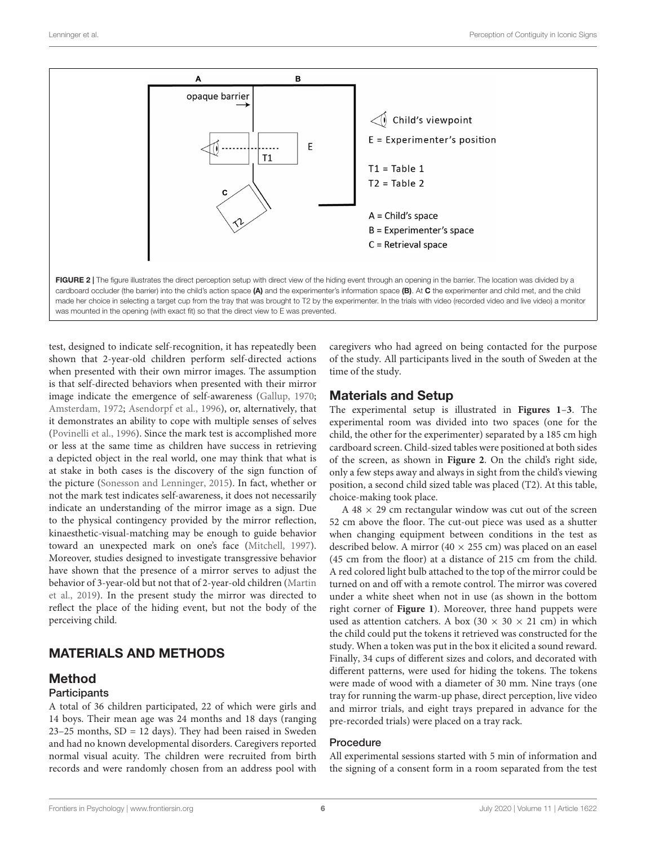

<span id="page-5-0"></span>test, designed to indicate self-recognition, it has repeatedly been shown that 2-year-old children perform self-directed actions when presented with their own mirror images. The assumption is that self-directed behaviors when presented with their mirror image indicate the emergence of self-awareness [\(Gallup,](#page-12-40) [1970;](#page-12-40) [Amsterdam,](#page-12-41) [1972;](#page-12-41) [Asendorpf et al.,](#page-12-42) [1996\)](#page-12-42), or, alternatively, that it demonstrates an ability to cope with multiple senses of selves [\(Povinelli et al.,](#page-13-26) [1996\)](#page-13-26). Since the mark test is accomplished more or less at the same time as children have success in retrieving a depicted object in the real world, one may think that what is at stake in both cases is the discovery of the sign function of the picture [\(Sonesson and Lenninger,](#page-13-6) [2015\)](#page-13-6). In fact, whether or not the mark test indicates self-awareness, it does not necessarily indicate an understanding of the mirror image as a sign. Due to the physical contingency provided by the mirror reflection, kinaesthetic-visual-matching may be enough to guide behavior toward an unexpected mark on one's face [\(Mitchell,](#page-12-43) [1997\)](#page-12-43). Moreover, studies designed to investigate transgressive behavior have shown that the presence of a mirror serves to adjust the behavior of 3-year-old but not that of 2-year-old children [\(Martin](#page-12-44) [et al.,](#page-12-44) [2019\)](#page-12-44). In the present study the mirror was directed to reflect the place of the hiding event, but not the body of the perceiving child.

# MATERIALS AND METHODS

### Method

#### **Participants**

A total of 36 children participated, 22 of which were girls and 14 boys. Their mean age was 24 months and 18 days (ranging  $23-25$  months,  $SD = 12$  days). They had been raised in Sweden and had no known developmental disorders. Caregivers reported normal visual acuity. The children were recruited from birth records and were randomly chosen from an address pool with

caregivers who had agreed on being contacted for the purpose of the study. All participants lived in the south of Sweden at the time of the study.

### Materials and Setup

The experimental setup is illustrated in **[Figures 1](#page-4-0)**–**[3](#page-6-0)**. The experimental room was divided into two spaces (one for the child, the other for the experimenter) separated by a 185 cm high cardboard screen. Child-sized tables were positioned at both sides of the screen, as shown in **[Figure 2](#page-5-0)**. On the child's right side, only a few steps away and always in sight from the child's viewing position, a second child sized table was placed (T2). At this table, choice-making took place.

A  $48 \times 29$  cm rectangular window was cut out of the screen 52 cm above the floor. The cut-out piece was used as a shutter when changing equipment between conditions in the test as described below. A mirror (40  $\times$  255 cm) was placed on an easel (45 cm from the floor) at a distance of 215 cm from the child. A red colored light bulb attached to the top of the mirror could be turned on and off with a remote control. The mirror was covered under a white sheet when not in use (as shown in the bottom right corner of **[Figure 1](#page-4-0)**). Moreover, three hand puppets were used as attention catchers. A box (30  $\times$  30  $\times$  21 cm) in which the child could put the tokens it retrieved was constructed for the study. When a token was put in the box it elicited a sound reward. Finally, 34 cups of different sizes and colors, and decorated with different patterns, were used for hiding the tokens. The tokens were made of wood with a diameter of 30 mm. Nine trays (one tray for running the warm-up phase, direct perception, live video and mirror trials, and eight trays prepared in advance for the pre-recorded trials) were placed on a tray rack.

#### Procedure

All experimental sessions started with 5 min of information and the signing of a consent form in a room separated from the test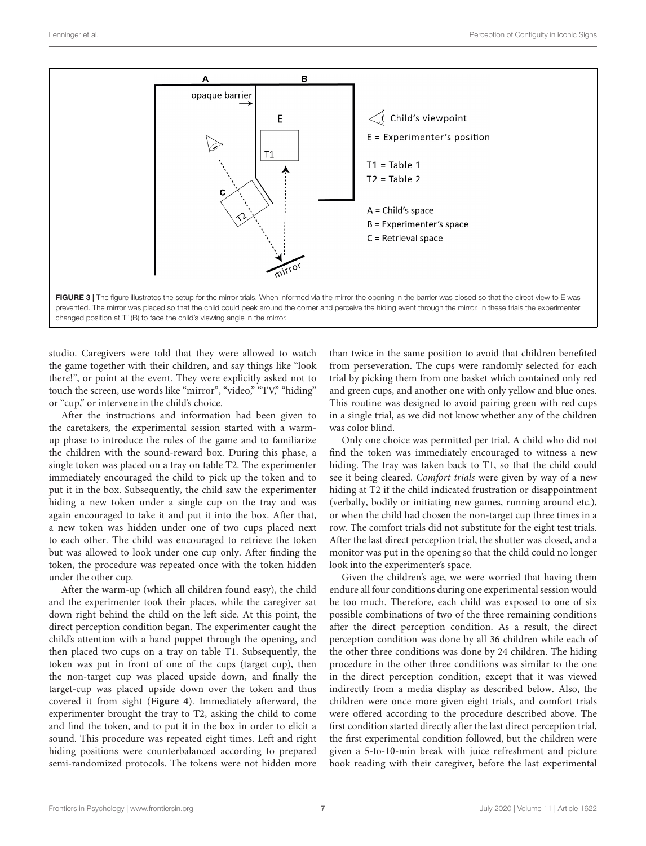

<span id="page-6-0"></span>studio. Caregivers were told that they were allowed to watch the game together with their children, and say things like "look there!", or point at the event. They were explicitly asked not to touch the screen, use words like "mirror", "video," "TV," "hiding" or "cup," or intervene in the child's choice.

After the instructions and information had been given to the caretakers, the experimental session started with a warmup phase to introduce the rules of the game and to familiarize the children with the sound-reward box. During this phase, a single token was placed on a tray on table T2. The experimenter immediately encouraged the child to pick up the token and to put it in the box. Subsequently, the child saw the experimenter hiding a new token under a single cup on the tray and was again encouraged to take it and put it into the box. After that, a new token was hidden under one of two cups placed next to each other. The child was encouraged to retrieve the token but was allowed to look under one cup only. After finding the token, the procedure was repeated once with the token hidden under the other cup.

After the warm-up (which all children found easy), the child and the experimenter took their places, while the caregiver sat down right behind the child on the left side. At this point, the direct perception condition began. The experimenter caught the child's attention with a hand puppet through the opening, and then placed two cups on a tray on table T1. Subsequently, the token was put in front of one of the cups (target cup), then the non-target cup was placed upside down, and finally the target-cup was placed upside down over the token and thus covered it from sight (**[Figure 4](#page-7-0)**). Immediately afterward, the experimenter brought the tray to T2, asking the child to come and find the token, and to put it in the box in order to elicit a sound. This procedure was repeated eight times. Left and right hiding positions were counterbalanced according to prepared semi-randomized protocols. The tokens were not hidden more than twice in the same position to avoid that children benefited from perseveration. The cups were randomly selected for each trial by picking them from one basket which contained only red and green cups, and another one with only yellow and blue ones. This routine was designed to avoid pairing green with red cups in a single trial, as we did not know whether any of the children was color blind.

Only one choice was permitted per trial. A child who did not find the token was immediately encouraged to witness a new hiding. The tray was taken back to T1, so that the child could see it being cleared. Comfort trials were given by way of a new hiding at T2 if the child indicated frustration or disappointment (verbally, bodily or initiating new games, running around etc.), or when the child had chosen the non-target cup three times in a row. The comfort trials did not substitute for the eight test trials. After the last direct perception trial, the shutter was closed, and a monitor was put in the opening so that the child could no longer look into the experimenter's space.

Given the children's age, we were worried that having them endure all four conditions during one experimental session would be too much. Therefore, each child was exposed to one of six possible combinations of two of the three remaining conditions after the direct perception condition. As a result, the direct perception condition was done by all 36 children while each of the other three conditions was done by 24 children. The hiding procedure in the other three conditions was similar to the one in the direct perception condition, except that it was viewed indirectly from a media display as described below. Also, the children were once more given eight trials, and comfort trials were offered according to the procedure described above. The first condition started directly after the last direct perception trial, the first experimental condition followed, but the children were given a 5-to-10-min break with juice refreshment and picture book reading with their caregiver, before the last experimental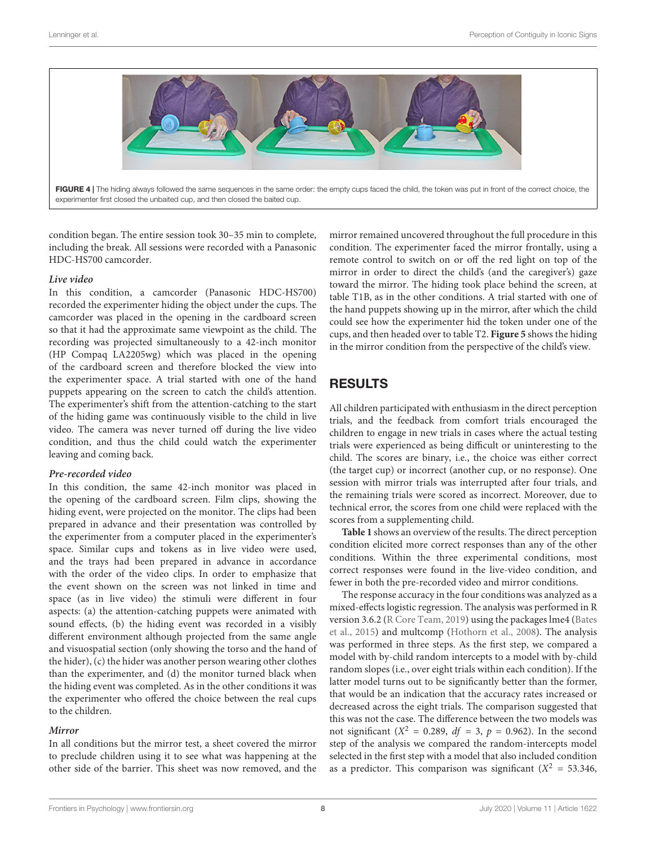

FIGURE 4 | The hiding always followed the same sequences in the same order: the empty cups faced the child, the token was put in front of the correct choice, the experimenter first closed the unbaited cup, and then closed the baited cup.

<span id="page-7-0"></span>condition began. The entire session took 30–35 min to complete, including the break. All sessions were recorded with a Panasonic HDC-HS700 camcorder.

#### **Live video**

In this condition, a camcorder (Panasonic HDC-HS700) recorded the experimenter hiding the object under the cups. The camcorder was placed in the opening in the cardboard screen so that it had the approximate same viewpoint as the child. The recording was projected simultaneously to a 42-inch monitor (HP Compaq LA2205wg) which was placed in the opening of the cardboard screen and therefore blocked the view into the experimenter space. A trial started with one of the hand puppets appearing on the screen to catch the child's attention. The experimenter's shift from the attention-catching to the start of the hiding game was continuously visible to the child in live video. The camera was never turned off during the live video condition, and thus the child could watch the experimenter leaving and coming back.

#### **Pre-recorded video**

In this condition, the same 42-inch monitor was placed in the opening of the cardboard screen. Film clips, showing the hiding event, were projected on the monitor. The clips had been prepared in advance and their presentation was controlled by the experimenter from a computer placed in the experimenter's space. Similar cups and tokens as in live video were used, and the trays had been prepared in advance in accordance with the order of the video clips. In order to emphasize that the event shown on the screen was not linked in time and space (as in live video) the stimuli were different in four aspects: (a) the attention-catching puppets were animated with sound effects, (b) the hiding event was recorded in a visibly different environment although projected from the same angle and visuospatial section (only showing the torso and the hand of the hider), (c) the hider was another person wearing other clothes than the experimenter, and (d) the monitor turned black when the hiding event was completed. As in the other conditions it was the experimenter who offered the choice between the real cups to the children.

#### **Mirror**

In all conditions but the mirror test, a sheet covered the mirror to preclude children using it to see what was happening at the other side of the barrier. This sheet was now removed, and the mirror remained uncovered throughout the full procedure in this condition. The experimenter faced the mirror frontally, using a remote control to switch on or off the red light on top of the mirror in order to direct the child's (and the caregiver's) gaze toward the mirror. The hiding took place behind the screen, at table T1B, as in the other conditions. A trial started with one of the hand puppets showing up in the mirror, after which the child could see how the experimenter hid the token under one of the cups, and then headed over to table T2. **[Figure 5](#page-8-0)** shows the hiding in the mirror condition from the perspective of the child's view.

### RESULTS

All children participated with enthusiasm in the direct perception trials, and the feedback from comfort trials encouraged the children to engage in new trials in cases where the actual testing trials were experienced as being difficult or uninteresting to the child. The scores are binary, i.e., the choice was either correct (the target cup) or incorrect (another cup, or no response). One session with mirror trials was interrupted after four trials, and the remaining trials were scored as incorrect. Moreover, due to technical error, the scores from one child were replaced with the scores from a supplementing child.

**[Table 1](#page-8-1)** shows an overview of the results. The direct perception condition elicited more correct responses than any of the other conditions. Within the three experimental conditions, most correct responses were found in the live-video condition, and fewer in both the pre-recorded video and mirror conditions.

The response accuracy in the four conditions was analyzed as a mixed-effects logistic regression. The analysis was performed in R version 3.6.2 [\(R Core Team,](#page-13-27) [2019\)](#page-13-27) using the packages lme4 [\(Bates](#page-12-45) [et al.,](#page-12-45) [2015\)](#page-12-45) and multcomp [\(Hothorn et al.,](#page-12-46) [2008\)](#page-12-46). The analysis was performed in three steps. As the first step, we compared a model with by-child random intercepts to a model with by-child random slopes (i.e., over eight trials within each condition). If the latter model turns out to be significantly better than the former, that would be an indication that the accuracy rates increased or decreased across the eight trials. The comparison suggested that this was not the case. The difference between the two models was not significant ( $X^2 = 0.289$ ,  $df = 3$ ,  $p = 0.962$ ). In the second step of the analysis we compared the random-intercepts model selected in the first step with a model that also included condition as a predictor. This comparison was significant ( $X^2 = 53.346$ ,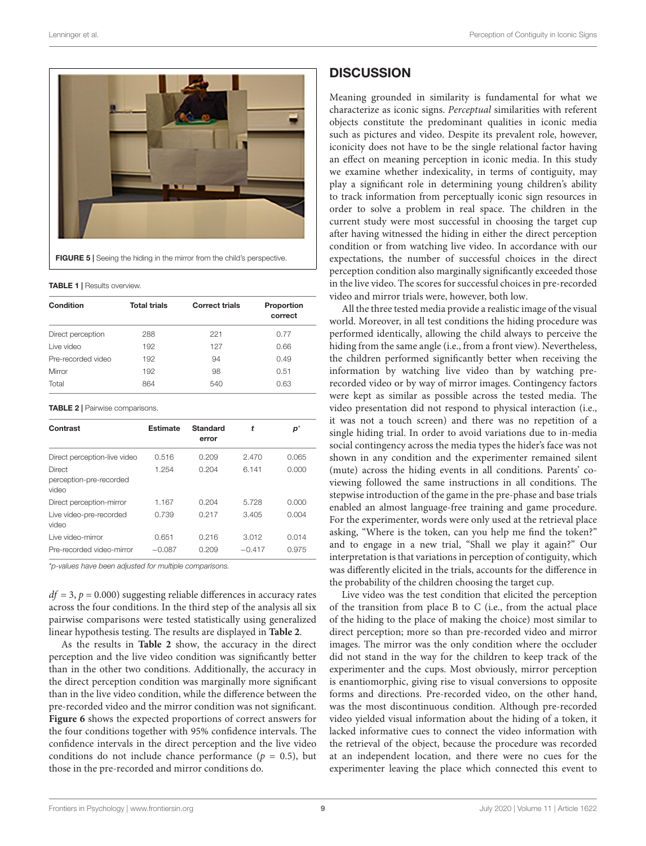

**TABLE 1 | Results overview.** 

<span id="page-8-1"></span><span id="page-8-0"></span>

| Condition          | <b>Total trials</b> | <b>Correct trials</b> | Proportion<br>correct |
|--------------------|---------------------|-----------------------|-----------------------|
| Direct perception  | 288                 | 221                   | 0.77                  |
| Live video         | 192                 | 127                   | 0.66                  |
| Pre-recorded video | 192                 | 94                    | 0.49                  |
| Mirror             | 192                 | 98                    | 0.51                  |
| Total              | 864                 | 540                   | 0.63                  |

<span id="page-8-2"></span>TABLE 2 | Pairwise comparisons.

| Contrast                                   | <b>Estimate</b> | <b>Standard</b><br>error | t        | p*    |
|--------------------------------------------|-----------------|--------------------------|----------|-------|
| Direct perception-live video               | 0.516           | 0.209                    | 2.470    | 0.065 |
| Direct<br>perception-pre-recorded<br>video | 1.254           | 0.204                    | 6.141    | 0.000 |
| Direct perception-mirror                   | 1.167           | 0.204                    | 5.728    | 0.000 |
| Live video-pre-recorded<br>video           | 0.739           | 0.217                    | 3.405    | 0.004 |
| Live video-mirror                          | 0.651           | 0.216                    | 3.012    | 0.014 |
| Pre-recorded video-mirror                  | $-0.087$        | 0.209                    | $-0.417$ | 0.975 |

\*p-values have been adjusted for multiple comparisons.

 $df = 3$ ,  $p = 0.000$ ) suggesting reliable differences in accuracy rates across the four conditions. In the third step of the analysis all six pairwise comparisons were tested statistically using generalized linear hypothesis testing. The results are displayed in **[Table 2](#page-8-2)**.

As the results in **[Table 2](#page-8-2)** show, the accuracy in the direct perception and the live video condition was significantly better than in the other two conditions. Additionally, the accuracy in the direct perception condition was marginally more significant than in the live video condition, while the difference between the pre-recorded video and the mirror condition was not significant. **[Figure 6](#page-9-0)** shows the expected proportions of correct answers for the four conditions together with 95% confidence intervals. The confidence intervals in the direct perception and the live video conditions do not include chance performance ( $p = 0.5$ ), but those in the pre-recorded and mirror conditions do.

### **DISCUSSION**

Meaning grounded in similarity is fundamental for what we characterize as iconic signs. Perceptual similarities with referent objects constitute the predominant qualities in iconic media such as pictures and video. Despite its prevalent role, however, iconicity does not have to be the single relational factor having an effect on meaning perception in iconic media. In this study we examine whether indexicality, in terms of contiguity, may play a significant role in determining young children's ability to track information from perceptually iconic sign resources in order to solve a problem in real space. The children in the current study were most successful in choosing the target cup after having witnessed the hiding in either the direct perception condition or from watching live video. In accordance with our expectations, the number of successful choices in the direct perception condition also marginally significantly exceeded those in the live video. The scores for successful choices in pre-recorded video and mirror trials were, however, both low.

All the three tested media provide a realistic image of the visual world. Moreover, in all test conditions the hiding procedure was performed identically, allowing the child always to perceive the hiding from the same angle (i.e., from a front view). Nevertheless, the children performed significantly better when receiving the information by watching live video than by watching prerecorded video or by way of mirror images. Contingency factors were kept as similar as possible across the tested media. The video presentation did not respond to physical interaction (i.e., it was not a touch screen) and there was no repetition of a single hiding trial. In order to avoid variations due to in-media social contingency across the media types the hider's face was not shown in any condition and the experimenter remained silent (mute) across the hiding events in all conditions. Parents' coviewing followed the same instructions in all conditions. The stepwise introduction of the game in the pre-phase and base trials enabled an almost language-free training and game procedure. For the experimenter, words were only used at the retrieval place asking, "Where is the token, can you help me find the token?" and to engage in a new trial, "Shall we play it again?" Our interpretation is that variations in perception of contiguity, which was differently elicited in the trials, accounts for the difference in the probability of the children choosing the target cup.

Live video was the test condition that elicited the perception of the transition from place B to C (i.e., from the actual place of the hiding to the place of making the choice) most similar to direct perception; more so than pre-recorded video and mirror images. The mirror was the only condition where the occluder did not stand in the way for the children to keep track of the experimenter and the cups. Most obviously, mirror perception is enantiomorphic, giving rise to visual conversions to opposite forms and directions. Pre-recorded video, on the other hand, was the most discontinuous condition. Although pre-recorded video yielded visual information about the hiding of a token, it lacked informative cues to connect the video information with the retrieval of the object, because the procedure was recorded at an independent location, and there were no cues for the experimenter leaving the place which connected this event to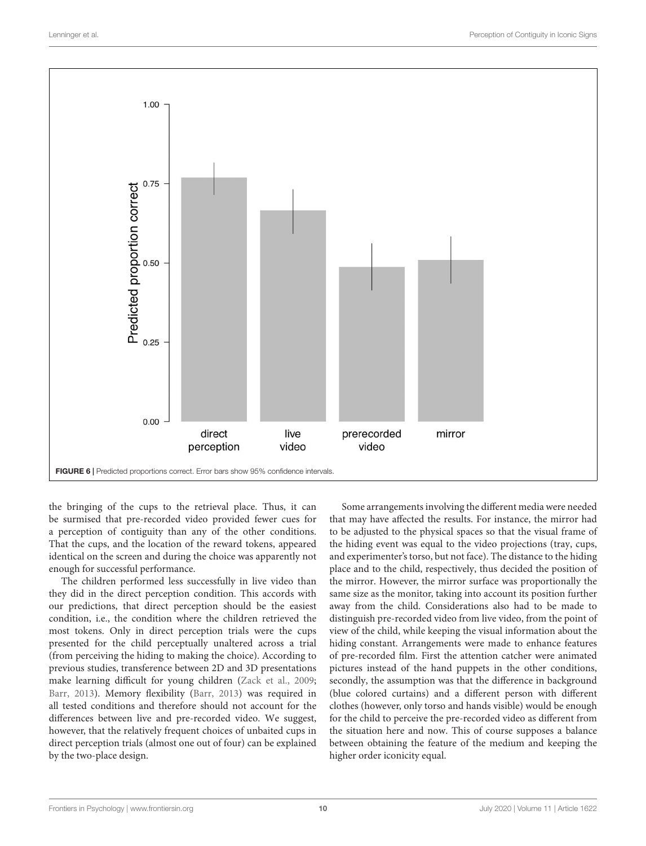

<span id="page-9-0"></span>the bringing of the cups to the retrieval place. Thus, it can be surmised that pre-recorded video provided fewer cues for a perception of contiguity than any of the other conditions. That the cups, and the location of the reward tokens, appeared identical on the screen and during the choice was apparently not enough for successful performance.

The children performed less successfully in live video than they did in the direct perception condition. This accords with our predictions, that direct perception should be the easiest condition, i.e., the condition where the children retrieved the most tokens. Only in direct perception trials were the cups presented for the child perceptually unaltered across a trial (from perceiving the hiding to making the choice). According to previous studies, transference between 2D and 3D presentations make learning difficult for young children [\(Zack et al.,](#page-13-4) [2009;](#page-13-4) [Barr,](#page-12-47) [2013\)](#page-12-47). Memory flexibility [\(Barr,](#page-12-47) [2013\)](#page-12-47) was required in all tested conditions and therefore should not account for the differences between live and pre-recorded video. We suggest, however, that the relatively frequent choices of unbaited cups in direct perception trials (almost one out of four) can be explained by the two-place design.

Some arrangements involving the different media were needed that may have affected the results. For instance, the mirror had to be adjusted to the physical spaces so that the visual frame of the hiding event was equal to the video projections (tray, cups, and experimenter's torso, but not face). The distance to the hiding place and to the child, respectively, thus decided the position of the mirror. However, the mirror surface was proportionally the same size as the monitor, taking into account its position further away from the child. Considerations also had to be made to distinguish pre-recorded video from live video, from the point of view of the child, while keeping the visual information about the hiding constant. Arrangements were made to enhance features of pre-recorded film. First the attention catcher were animated pictures instead of the hand puppets in the other conditions, secondly, the assumption was that the difference in background (blue colored curtains) and a different person with different clothes (however, only torso and hands visible) would be enough for the child to perceive the pre-recorded video as different from the situation here and now. This of course supposes a balance between obtaining the feature of the medium and keeping the higher order iconicity equal.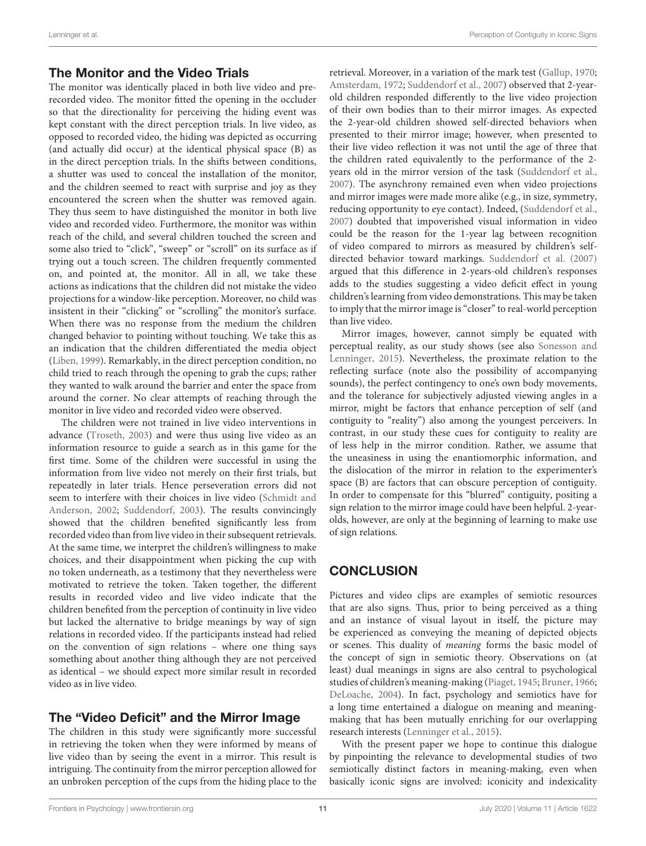### The Monitor and the Video Trials

The monitor was identically placed in both live video and prerecorded video. The monitor fitted the opening in the occluder so that the directionality for perceiving the hiding event was kept constant with the direct perception trials. In live video, as opposed to recorded video, the hiding was depicted as occurring (and actually did occur) at the identical physical space (B) as in the direct perception trials. In the shifts between conditions, a shutter was used to conceal the installation of the monitor, and the children seemed to react with surprise and joy as they encountered the screen when the shutter was removed again. They thus seem to have distinguished the monitor in both live video and recorded video. Furthermore, the monitor was within reach of the child, and several children touched the screen and some also tried to "click", "sweep" or "scroll" on its surface as if trying out a touch screen. The children frequently commented on, and pointed at, the monitor. All in all, we take these actions as indications that the children did not mistake the video projections for a window-like perception. Moreover, no child was insistent in their "clicking" or "scrolling" the monitor's surface. When there was no response from the medium the children changed behavior to pointing without touching. We take this as an indication that the children differentiated the media object [\(Liben,](#page-12-14) [1999\)](#page-12-14). Remarkably, in the direct perception condition, no child tried to reach through the opening to grab the cups; rather they wanted to walk around the barrier and enter the space from around the corner. No clear attempts of reaching through the monitor in live video and recorded video were observed.

The children were not trained in live video interventions in advance [\(Troseth,](#page-13-16) [2003\)](#page-13-16) and were thus using live video as an information resource to guide a search as in this game for the first time. Some of the children were successful in using the information from live video not merely on their first trials, but repeatedly in later trials. Hence perseveration errors did not seem to interfere with their choices in live video [\(Schmidt and](#page-13-19) [Anderson,](#page-13-19) [2002;](#page-13-19) [Suddendorf,](#page-13-24) [2003\)](#page-13-24). The results convincingly showed that the children benefited significantly less from recorded video than from live video in their subsequent retrievals. At the same time, we interpret the children's willingness to make choices, and their disappointment when picking the cup with no token underneath, as a testimony that they nevertheless were motivated to retrieve the token. Taken together, the different results in recorded video and live video indicate that the children benefited from the perception of continuity in live video but lacked the alternative to bridge meanings by way of sign relations in recorded video. If the participants instead had relied on the convention of sign relations – where one thing says something about another thing although they are not perceived as identical – we should expect more similar result in recorded video as in live video.

### The "Video Deficit" and the Mirror Image

The children in this study were significantly more successful in retrieving the token when they were informed by means of live video than by seeing the event in a mirror. This result is intriguing. The continuity from the mirror perception allowed for an unbroken perception of the cups from the hiding place to the retrieval. Moreover, in a variation of the mark test [\(Gallup,](#page-12-40) [1970;](#page-12-40) [Amsterdam,](#page-12-41) [1972;](#page-12-41) [Suddendorf et al.,](#page-13-10) [2007\)](#page-13-10) observed that 2-yearold children responded differently to the live video projection of their own bodies than to their mirror images. As expected the 2-year-old children showed self-directed behaviors when presented to their mirror image; however, when presented to their live video reflection it was not until the age of three that the children rated equivalently to the performance of the 2 years old in the mirror version of the task [\(Suddendorf et al.,](#page-13-10) [2007\)](#page-13-10). The asynchrony remained even when video projections and mirror images were made more alike (e.g., in size, symmetry, reducing opportunity to eye contact). Indeed, [\(Suddendorf et al.,](#page-13-10) [2007\)](#page-13-10) doubted that impoverished visual information in video could be the reason for the 1-year lag between recognition of video compared to mirrors as measured by children's selfdirected behavior toward markings. [Suddendorf et al.](#page-13-10) [\(2007\)](#page-13-10) argued that this difference in 2-years-old children's responses adds to the studies suggesting a video deficit effect in young children's learning from video demonstrations. This may be taken to imply that the mirror image is "closer" to real-world perception than live video.

Mirror images, however, cannot simply be equated with perceptual reality, as our study shows (see also [Sonesson and](#page-13-6) [Lenninger,](#page-13-6) [2015\)](#page-13-6). Nevertheless, the proximate relation to the reflecting surface (note also the possibility of accompanying sounds), the perfect contingency to one's own body movements, and the tolerance for subjectively adjusted viewing angles in a mirror, might be factors that enhance perception of self (and contiguity to "reality") also among the youngest perceivers. In contrast, in our study these cues for contiguity to reality are of less help in the mirror condition. Rather, we assume that the uneasiness in using the enantiomorphic information, and the dislocation of the mirror in relation to the experimenter's space (B) are factors that can obscure perception of contiguity. In order to compensate for this "blurred" contiguity, positing a sign relation to the mirror image could have been helpful. 2-yearolds, however, are only at the beginning of learning to make use of sign relations.

# **CONCLUSION**

Pictures and video clips are examples of semiotic resources that are also signs. Thus, prior to being perceived as a thing and an instance of visual layout in itself, the picture may be experienced as conveying the meaning of depicted objects or scenes. This duality of meaning forms the basic model of the concept of sign in semiotic theory. Observations on (at least) dual meanings in signs are also central to psychological studies of children's meaning-making [\(Piaget,](#page-13-17) [1945;](#page-13-17) [Bruner,](#page-12-32) [1966;](#page-12-32) [DeLoache,](#page-12-15) [2004\)](#page-12-15). In fact, psychology and semiotics have for a long time entertained a dialogue on meaning and meaningmaking that has been mutually enriching for our overlapping research interests [\(Lenninger et al.,](#page-12-48) [2015\)](#page-12-48).

With the present paper we hope to continue this dialogue by pinpointing the relevance to developmental studies of two semiotically distinct factors in meaning-making, even when basically iconic signs are involved: iconicity and indexicality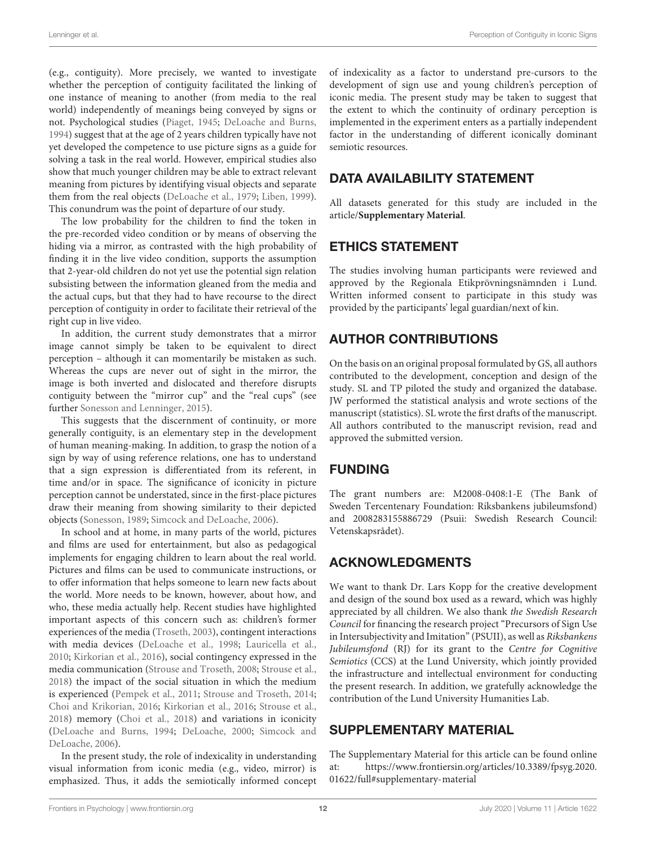(e.g., contiguity). More precisely, we wanted to investigate whether the perception of contiguity facilitated the linking of one instance of meaning to another (from media to the real world) independently of meanings being conveyed by signs or not. Psychological studies [\(Piaget,](#page-13-17) [1945;](#page-13-17) [DeLoache and Burns,](#page-12-10) [1994\)](#page-12-10) suggest that at the age of 2 years children typically have not yet developed the competence to use picture signs as a guide for solving a task in the real world. However, empirical studies also show that much younger children may be able to extract relevant meaning from pictures by identifying visual objects and separate them from the real objects [\(DeLoache et al.,](#page-12-4) [1979;](#page-12-4) [Liben,](#page-12-14) [1999\)](#page-12-14). This conundrum was the point of departure of our study.

The low probability for the children to find the token in the pre-recorded video condition or by means of observing the hiding via a mirror, as contrasted with the high probability of finding it in the live video condition, supports the assumption that 2-year-old children do not yet use the potential sign relation subsisting between the information gleaned from the media and the actual cups, but that they had to have recourse to the direct perception of contiguity in order to facilitate their retrieval of the right cup in live video.

In addition, the current study demonstrates that a mirror image cannot simply be taken to be equivalent to direct perception – although it can momentarily be mistaken as such. Whereas the cups are never out of sight in the mirror, the image is both inverted and dislocated and therefore disrupts contiguity between the "mirror cup" and the "real cups" (see further [Sonesson and Lenninger,](#page-13-6) [2015\)](#page-13-6).

This suggests that the discernment of continuity, or more generally contiguity, is an elementary step in the development of human meaning-making. In addition, to grasp the notion of a sign by way of using reference relations, one has to understand that a sign expression is differentiated from its referent, in time and/or in space. The significance of iconicity in picture perception cannot be understated, since in the first-place pictures draw their meaning from showing similarity to their depicted objects [\(Sonesson,](#page-13-5) [1989;](#page-13-5) [Simcock and DeLoache,](#page-13-12) [2006\)](#page-13-12).

In school and at home, in many parts of the world, pictures and films are used for entertainment, but also as pedagogical implements for engaging children to learn about the real world. Pictures and films can be used to communicate instructions, or to offer information that helps someone to learn new facts about the world. More needs to be known, however, about how, and who, these media actually help. Recent studies have highlighted important aspects of this concern such as: children's former experiences of the media [\(Troseth,](#page-13-16) [2003\)](#page-13-16), contingent interactions with media devices [\(DeLoache et al.,](#page-12-49) [1998;](#page-12-49) [Lauricella et al.,](#page-12-26) [2010;](#page-12-26) [Kirkorian et al.,](#page-12-31) [2016\)](#page-12-31), social contingency expressed in the media communication [\(Strouse and Troseth,](#page-13-28) [2008;](#page-13-28) [Strouse et al.,](#page-13-14) [2018\)](#page-13-14) the impact of the social situation in which the medium is experienced [\(Pempek et al.,](#page-13-29) [2011;](#page-13-29) [Strouse and Troseth,](#page-13-15) [2014;](#page-13-15) [Choi and Krikorian,](#page-12-27) [2016;](#page-12-27) [Kirkorian et al.,](#page-12-31) [2016;](#page-12-31) [Strouse et al.,](#page-13-14) [2018\)](#page-13-14) memory [\(Choi et al.,](#page-12-50) [2018\)](#page-12-50) and variations in iconicity [\(DeLoache and Burns,](#page-12-10) [1994;](#page-12-10) [DeLoache,](#page-12-12) [2000;](#page-12-12) [Simcock and](#page-13-12) [DeLoache,](#page-13-12) [2006\)](#page-13-12).

In the present study, the role of indexicality in understanding visual information from iconic media (e.g., video, mirror) is emphasized. Thus, it adds the semiotically informed concept of indexicality as a factor to understand pre-cursors to the development of sign use and young children's perception of iconic media. The present study may be taken to suggest that the extent to which the continuity of ordinary perception is implemented in the experiment enters as a partially independent factor in the understanding of different iconically dominant semiotic resources.

# DATA AVAILABILITY STATEMENT

All datasets generated for this study are included in the article/**[Supplementary Material](#page-11-0)**.

# ETHICS STATEMENT

The studies involving human participants were reviewed and approved by the Regionala Etikprövningsnämnden i Lund. Written informed consent to participate in this study was provided by the participants' legal guardian/next of kin.

# AUTHOR CONTRIBUTIONS

On the basis on an original proposal formulated by GS, all authors contributed to the development, conception and design of the study. SL and TP piloted the study and organized the database. JW performed the statistical analysis and wrote sections of the manuscript (statistics). SL wrote the first drafts of the manuscript. All authors contributed to the manuscript revision, read and approved the submitted version.

# FUNDING

The grant numbers are: M2008-0408:1-E (The Bank of Sweden Tercentenary Foundation: Riksbankens jubileumsfond) and 2008283155886729 (Psuii: Swedish Research Council: Vetenskapsrådet).

# ACKNOWLEDGMENTS

We want to thank Dr. Lars Kopp for the creative development and design of the sound box used as a reward, which was highly appreciated by all children. We also thank the Swedish Research Council for financing the research project "Precursors of Sign Use in Intersubjectivity and Imitation" (PSUII), as well as Riksbankens Jubileumsfond (RJ) for its grant to the Centre for Cognitive Semiotics (CCS) at the Lund University, which jointly provided the infrastructure and intellectual environment for conducting the present research. In addition, we gratefully acknowledge the contribution of the Lund University Humanities Lab.

# <span id="page-11-0"></span>SUPPLEMENTARY MATERIAL

The Supplementary Material for this article can be found online at: [https://www.frontiersin.org/articles/10.3389/fpsyg.2020.](https://www.frontiersin.org/articles/10.3389/fpsyg.2020.01622/full#supplementary-material) [01622/full#supplementary-material](https://www.frontiersin.org/articles/10.3389/fpsyg.2020.01622/full#supplementary-material)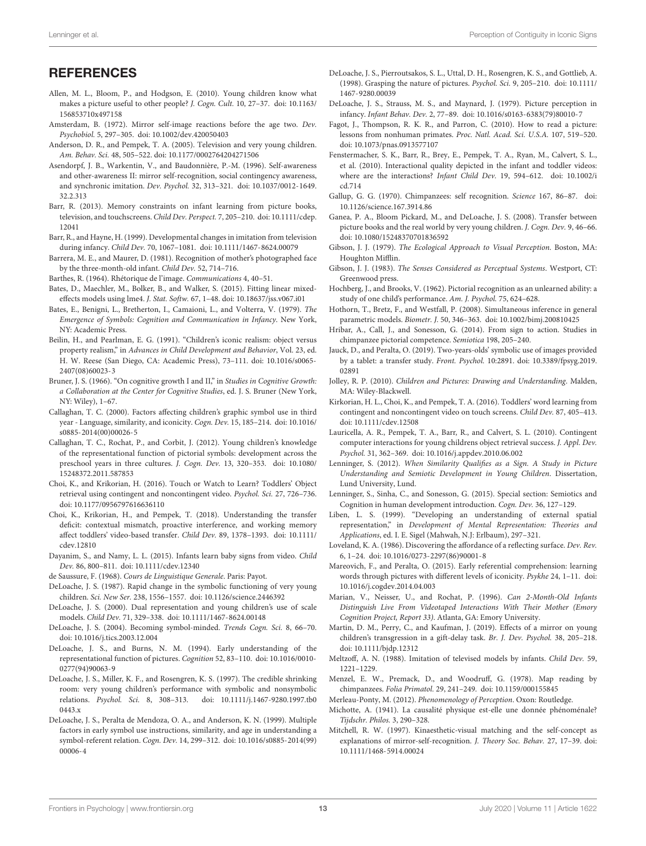### **REFERENCES**

- <span id="page-12-39"></span>Allen, M. L., Bloom, P., and Hodgson, E. (2010). Young children know what makes a picture useful to other people? J. Cogn. Cult. 10, 27–37. [doi: 10.1163/](https://doi.org/10.1163/156853710x497158) [156853710x497158](https://doi.org/10.1163/156853710x497158)
- <span id="page-12-41"></span>Amsterdam, B. (1972). Mirror self-image reactions before the age two. Dev. Psychobiol. 5, 297–305. [doi: 10.1002/dev.420050403](https://doi.org/10.1002/dev.420050403)
- <span id="page-12-21"></span>Anderson, D. R., and Pempek, T. A. (2005). Television and very young children. Am. Behav. Sci. 48, 505–522. [doi: 10.1177/0002764204271506](https://doi.org/10.1177/0002764204271506)
- <span id="page-12-42"></span>Asendorpf, J. B., Warkentin, V., and Baudonnière, P.-M. (1996). Self-awareness and other-awareness II: mirror self-recognition, social contingency awareness, and synchronic imitation. Dev. Psychol. 32, 313–321. [doi: 10.1037/0012-1649.](https://doi.org/10.1037/0012-1649.32.2.313) [32.2.313](https://doi.org/10.1037/0012-1649.32.2.313)
- <span id="page-12-47"></span>Barr, R. (2013). Memory constraints on infant learning from picture books, television, and touchscreens. Child Dev. Perspect. 7, 205–210. [doi: 10.1111/cdep.](https://doi.org/10.1111/cdep.12041) [12041](https://doi.org/10.1111/cdep.12041)
- <span id="page-12-18"></span>Barr, R., and Hayne, H. (1999). Developmental changes in imitation from television during infancy. Child Dev. 70, 1067–1081. [doi: 10.1111/1467-8624.00079](https://doi.org/10.1111/1467-8624.00079)
- <span id="page-12-6"></span>Barrera, M. E., and Maurer, D. (1981). Recognition of mother's photographed face by the three-month-old infant. Child Dev. 52, 714–716.
- <span id="page-12-0"></span>Barthes, R. (1964). Rhétorique de l'image. Communications 4, 40–51.
- <span id="page-12-45"></span>Bates, D., Maechler, M., Bolker, B., and Walker, S. (2015). Fitting linear mixedeffects models using lme4. J. Stat. Softw. 67, 1–48. [doi: 10.18637/jss.v067.i01](https://doi.org/10.18637/jss.v067.i01)
- <span id="page-12-33"></span>Bates, E., Benigni, L., Bretherton, I., Camaioni, L., and Volterra, V. (1979). The Emergence of Symbols: Cognition and Communication in Infancy. New York, NY: Academic Press.
- <span id="page-12-9"></span>Beilin, H., and Pearlman, E. G. (1991). "Children's iconic realism: object versus property realism," in Advances in Child Development and Behavior, Vol. 23, ed. H. W. Reese (San Diego, CA: Academic Press), 73–111. [doi: 10.1016/s0065-](https://doi.org/10.1016/s0065-2407(08)60023-3) [2407\(08\)60023-3](https://doi.org/10.1016/s0065-2407(08)60023-3)
- <span id="page-12-32"></span>Bruner, J. S. (1966). "On cognitive growth I and II," in Studies in Cognitive Growth: a Collaboration at the Center for Cognitive Studies, ed. J. S. Bruner (New York, NY: Wiley), 1–67.
- <span id="page-12-11"></span>Callaghan, T. C. (2000). Factors affecting children's graphic symbol use in third year - Language, similarity, and iconicity. Cogn. Dev. 15, 185–214. [doi: 10.1016/](https://doi.org/10.1016/s0885-2014(00)00026-5) [s0885-2014\(00\)00026-5](https://doi.org/10.1016/s0885-2014(00)00026-5)
- <span id="page-12-23"></span>Callaghan, T. C., Rochat, P., and Corbit, J. (2012). Young children's knowledge of the representational function of pictorial symbols: development across the preschool years in three cultures. J. Cogn. Dev. 13, 320–353. [doi: 10.1080/](https://doi.org/10.1080/15248372.2011.587853) [15248372.2011.587853](https://doi.org/10.1080/15248372.2011.587853)
- <span id="page-12-27"></span>Choi, K., and Krikorian, H. (2016). Touch or Watch to Learn? Toddlers' Object retrieval using contingent and noncontingent video. Psychol. Sci. 27, 726–736. [doi: 10.1177/0956797616636110](https://doi.org/10.1177/0956797616636110)
- <span id="page-12-50"></span>Choi, K., Krikorian, H., and Pempek, T. (2018). Understanding the transfer deficit: contextual mismatch, proactive interference, and working memory affect toddlers' video-based transfer. Child Dev. 89, 1378–1393. [doi: 10.1111/](https://doi.org/10.1111/cdev.12810) [cdev.12810](https://doi.org/10.1111/cdev.12810)
- <span id="page-12-30"></span>Dayanim, S., and Namy, L. L. (2015). Infants learn baby signs from video. Child Dev. 86, 800–811. [doi: 10.1111/cdev.12340](https://doi.org/10.1111/cdev.12340)
- <span id="page-12-20"></span>de Saussure, F. (1968). Cours de Linguistique Generale. Paris: Payot.
- <span id="page-12-34"></span>DeLoache, J. S. (1987). Rapid change in the symbolic functioning of very young children. Sci. New Ser. 238, 1556–1557. [doi: 10.1126/science.2446392](https://doi.org/10.1126/science.2446392)
- <span id="page-12-12"></span>DeLoache, J. S. (2000). Dual representation and young children's use of scale models. Child Dev. 71, 329–338. [doi: 10.1111/1467-8624.00148](https://doi.org/10.1111/1467-8624.00148)
- <span id="page-12-15"></span>DeLoache, J. S. (2004). Becoming symbol-minded. Trends Cogn. Sci. 8, 66–70. [doi: 10.1016/j.tics.2003.12.004](https://doi.org/10.1016/j.tics.2003.12.004)
- <span id="page-12-10"></span>DeLoache, J. S., and Burns, N. M. (1994). Early understanding of the representational function of pictures. Cognition 52, 83–110. [doi: 10.1016/0010-](https://doi.org/10.1016/0010-0277(94)90063-9) [0277\(94\)90063-9](https://doi.org/10.1016/0010-0277(94)90063-9)
- <span id="page-12-35"></span>DeLoache, J. S., Miller, K. F., and Rosengren, K. S. (1997). The credible shrinking room: very young children's performance with symbolic and nonsymbolic relations. Psychol. Sci. 8, 308–313. [doi: 10.1111/j.1467-9280.1997.tb0](https://doi.org/10.1111/j.1467-9280.1997.tb00443.x) [0443.x](https://doi.org/10.1111/j.1467-9280.1997.tb00443.x)
- <span id="page-12-22"></span>DeLoache, J. S., Peralta de Mendoza, O. A., and Anderson, K. N. (1999). Multiple factors in early symbol use instructions, similarity, and age in understanding a symbol-referent relation. Cogn. Dev. 14, 299–312. [doi: 10.1016/s0885-2014\(99\)](https://doi.org/10.1016/s0885-2014(99)00006-4) [00006-4](https://doi.org/10.1016/s0885-2014(99)00006-4)
- <span id="page-12-49"></span>DeLoache, J. S., Pierroutsakos, S. L., Uttal, D. H., Rosengren, K. S., and Gottlieb, A. (1998). Grasping the nature of pictures. Psychol. Sci. 9, 205–210. [doi: 10.1111/](https://doi.org/10.1111/1467-9280.00039) [1467-9280.00039](https://doi.org/10.1111/1467-9280.00039)
- <span id="page-12-4"></span>DeLoache, J. S., Strauss, M. S., and Maynard, J. (1979). Picture perception in infancy. Infant Behav. Dev. 2, 77–89. [doi: 10.1016/s0163-6383\(79\)80010-7](https://doi.org/10.1016/s0163-6383(79)80010-7)
- <span id="page-12-5"></span>Fagot, J., Thompson, R. K. R., and Parron, C. (2010). How to read a picture: lessons from nonhuman primates. Proc. Natl. Acad. Sci. U.S.A. 107, 519–520. [doi: 10.1073/pnas.0913577107](https://doi.org/10.1073/pnas.0913577107)
- <span id="page-12-29"></span>Fenstermacher, S. K., Barr, R., Brey, E., Pempek, T. A., Ryan, M., Calvert, S. L., et al. (2010). Interactional quality depicted in the infant and toddler videos: where are the interactions? Infant Child Dev. 19, 594–612. [doi: 10.1002/i](https://doi.org/10.1002/icd.714) [cd.714](https://doi.org/10.1002/icd.714)
- <span id="page-12-40"></span>Gallup, G. G. (1970). Chimpanzees: self recognition. Science 167, 86–87. [doi:](https://doi.org/10.1126/science.167.3914.86) [10.1126/science.167.3914.86](https://doi.org/10.1126/science.167.3914.86)
- <span id="page-12-24"></span>Ganea, P. A., Bloom Pickard, M., and DeLoache, J. S. (2008). Transfer between picture books and the real world by very young children. J. Cogn. Dev. 9, 46–66. [doi: 10.1080/15248370701836592](https://doi.org/10.1080/15248370701836592)
- <span id="page-12-1"></span>Gibson, J. J. (1979). The Ecological Approach to Visual Perception. Boston, MA: Houghton Mifflin.
- <span id="page-12-2"></span>Gibson, J. J. (1983). The Senses Considered as Perceptual Systems. Westport, CT: Greenwood press.
- <span id="page-12-3"></span>Hochberg, J., and Brooks, V. (1962). Pictorial recognition as an unlearned ability: a study of one child's performance. Am. J. Psychol. 75, 624–628.
- <span id="page-12-46"></span>Hothorn, T., Bretz, F., and Westfall, P. (2008). Simultaneous inference in general parametric models. Biometr. J. 50, 346–363. [doi: 10.1002/bimj.200810425](https://doi.org/10.1002/bimj.200810425)
- <span id="page-12-19"></span>Hribar, A., Call, J., and Sonesson, G. (2014). From sign to action. Studies in chimpanzee pictorial competence. Semiotica 198, 205–240.
- <span id="page-12-28"></span>Jauck, D., and Peralta, O. (2019). Two-years-olds' symbolic use of images provided by a tablet: a transfer study. Front. Psychol. 10:2891. [doi: 10.3389/fpsyg.2019.](https://doi.org/10.3389/fpsyg.2019.02891) [02891](https://doi.org/10.3389/fpsyg.2019.02891)
- <span id="page-12-16"></span>Jolley, R. P. (2010). Children and Pictures: Drawing and Understanding. Malden, MA: Wiley-Blackwell.
- <span id="page-12-31"></span>Kirkorian, H. L., Choi, K., and Pempek, T. A. (2016). Toddlers' word learning from contingent and noncontingent video on touch screens. Child Dev. 87, 405–413. [doi: 10.1111/cdev.12508](https://doi.org/10.1111/cdev.12508)
- <span id="page-12-26"></span>Lauricella, A. R., Pempek, T. A., Barr, R., and Calvert, S. L. (2010). Contingent computer interactions for young childrens object retrieval success. J. Appl. Dev. Psychol. 31, 362–369. [doi: 10.1016/j.appdev.2010.06.002](https://doi.org/10.1016/j.appdev.2010.06.002)
- <span id="page-12-13"></span>Lenninger, S. (2012). When Similarity Qualifies as a Sign. A Study in Picture Understanding and Semiotic Development in Young Children. Dissertation, Lund University, Lund.
- <span id="page-12-48"></span>Lenninger, S., Sinha, C., and Sonesson, G. (2015). Special section: Semiotics and Cognition in human development introduction. Cogn. Dev. 36, 127–129.
- <span id="page-12-14"></span>Liben, L. S. (1999). "Developing an understanding of external spatial representation," in Development of Mental Representation: Theories and Applications, ed. I. E. Sigel (Mahwah, N.J: Erlbaum), 297–321.
- <span id="page-12-8"></span>Loveland, K. A. (1986). Discovering the affordance of a reflecting surface. Dev. Rev. 6, 1–24. [doi: 10.1016/0273-2297\(86\)90001-8](https://doi.org/10.1016/0273-2297(86)90001-8)
- <span id="page-12-25"></span>Mareovich, F., and Peralta, O. (2015). Early referential comprehension: learning words through pictures with different levels of iconicity. Psykhe 24, 1–11. [doi:](https://doi.org/10.1016/j.cogdev.2014.04.003) [10.1016/j.cogdev.2014.04.003](https://doi.org/10.1016/j.cogdev.2014.04.003)
- <span id="page-12-7"></span>Marian, V., Neisser, U., and Rochat, P. (1996). Can 2-Month-Old Infants Distinguish Live From Videotaped Interactions With Their Mother (Emory Cognition Project, Report 33). Atlanta, GA: Emory University.
- <span id="page-12-44"></span>Martin, D. M., Perry, C., and Kaufman, J. (2019). Effects of a mirror on young children's transgression in a gift-delay task. Br. J. Dev. Psychol. 38, 205–218. [doi: 10.1111/bjdp.12312](https://doi.org/10.1111/bjdp.12312)
- <span id="page-12-17"></span>Meltzoff, A. N. (1988). Imitation of televised models by infants. Child Dev. 59, 1221–1229.
- <span id="page-12-38"></span>Menzel, E. W., Premack, D., and Woodruff, G. (1978). Map reading by chimpanzees. Folia Primatol. 29, 241–249. [doi: 10.1159/000155845](https://doi.org/10.1159/000155845)
- <span id="page-12-37"></span><span id="page-12-36"></span>Merleau-Ponty, M. (2012). Phenomenology of Perception. Oxon: Routledge.
- Michotte, A. (1941). La causalité physique est-elle une donnée phénoménale? Tijdschr. Philos. 3, 290–328.
- <span id="page-12-43"></span>Mitchell, R. W. (1997). Kinaesthetic-visual matching and the self-concept as explanations of mirror-self-recognition. J. Theory Soc. Behav. 27, 17–39. [doi:](https://doi.org/10.1111/1468-5914.00024) [10.1111/1468-5914.00024](https://doi.org/10.1111/1468-5914.00024)